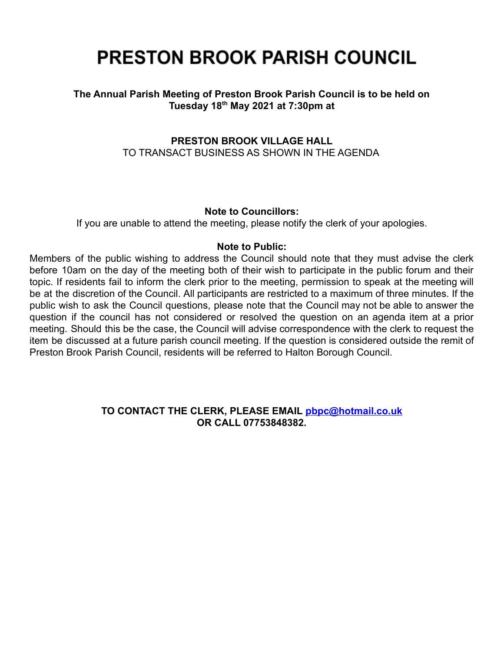# **PRESTON BROOK PARISH COUNCIL**

## **The Annual Parish Meeting of Preston Brook Parish Council is to be held on Tuesday 18th May 2021 at 7:30pm at**

# **PRESTON BROOK VILLAGE HALL** TO TRANSACT BUSINESS AS SHOWN IN THE AGENDA

## **Note to Councillors:**

If you are unable to attend the meeting, please notify the clerk of your apologies.

## **Note to Public:**

Members of the public wishing to address the Council should note that they must advise the clerk before 10am on the day of the meeting both of their wish to participate in the public forum and their topic. If residents fail to inform the clerk prior to the meeting, permission to speak at the meeting will be at the discretion of the Council. All participants are restricted to a maximum of three minutes. If the public wish to ask the Council questions, please note that the Council may not be able to answer the question if the council has not considered or resolved the question on an agenda item at a prior meeting. Should this be the case, the Council will advise correspondence with the clerk to request the item be discussed at a future parish council meeting. If the question is considered outside the remit of Preston Brook Parish Council, residents will be referred to Halton Borough Council.

## **TO CONTACT THE CLERK, PLEASE EMAIL [pbpc@hotmail.co.uk](mailto:pbpc@hotmail.co.uk) OR CALL 07753848382.**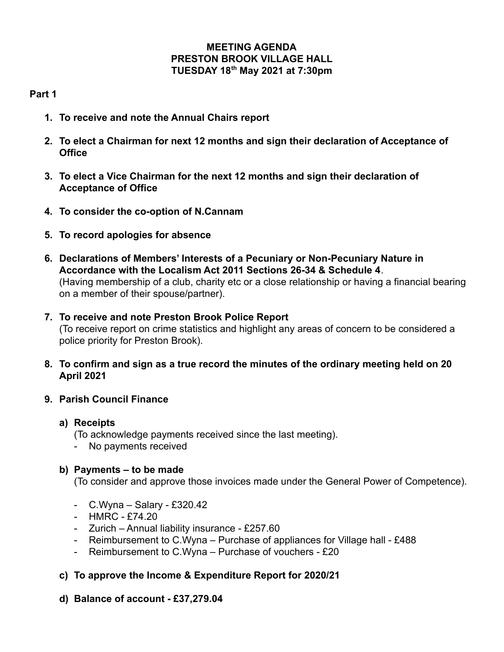## **MEETING AGENDA PRESTON BROOK VILLAGE HALL TUESDAY 18th May 2021 at 7:30pm**

# **Part 1**

- **1. To receive and note the Annual Chairs report**
- **2. To elect a Chairman for next 12 months and sign their declaration of Acceptance of Office**
- **3. To elect a Vice Chairman for the next 12 months and sign their declaration of Acceptance of Office**
- **4. To consider the co-option of N.Cannam**
- **5. To record apologies for absence**
- **6. Declarations of Members' Interests of a Pecuniary or Non-Pecuniary Nature in Accordance with the Localism Act 2011 Sections 26-34 & Schedule 4**. (Having membership of a club, charity etc or a close relationship or having a financial bearing on a member of their spouse/partner).
- **7. To receive and note Preston Brook Police Report** (To receive report on crime statistics and highlight any areas of concern to be considered a police priority for Preston Brook).
- **8. To confirm and sign as a true record the minutes of the ordinary meeting held on 20 April 2021**
- **9. Parish Council Finance**

# **a) Receipts**

(To acknowledge payments received since the last meeting).

- No payments received

# **b) Payments – to be made**

(To consider and approve those invoices made under the General Power of Competence).

- C.Wyna Salary £320.42
- HMRC £74.20
- Zurich Annual liability insurance £257.60
- Reimbursement to C.Wyna Purchase of appliances for Village hall £488
- Reimbursement to C.Wyna Purchase of vouchers £20
- **c) To approve the Income & Expenditure Report for 2020/21**
- **d) Balance of account £37,279.04**